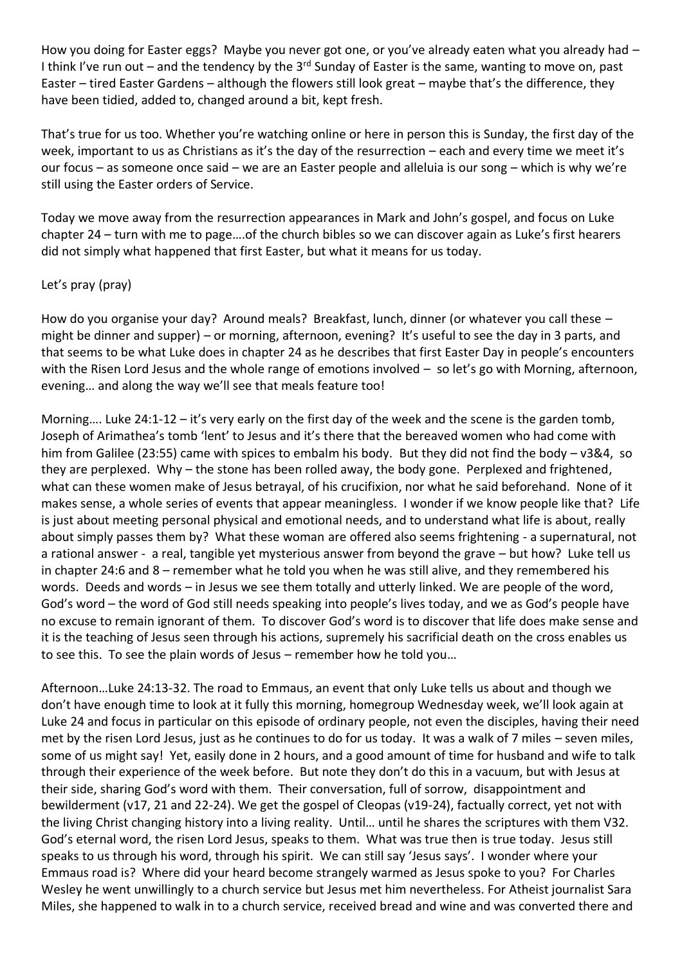How you doing for Easter eggs? Maybe you never got one, or you've already eaten what you already had -I think I've run out – and the tendency by the  $3<sup>rd</sup>$  Sunday of Easter is the same, wanting to move on, past Easter – tired Easter Gardens – although the flowers still look great – maybe that's the difference, they have been tidied, added to, changed around a bit, kept fresh.

That's true for us too. Whether you're watching online or here in person this is Sunday, the first day of the week, important to us as Christians as it's the day of the resurrection – each and every time we meet it's our focus – as someone once said – we are an Easter people and alleluia is our song – which is why we're still using the Easter orders of Service.

Today we move away from the resurrection appearances in Mark and John's gospel, and focus on Luke chapter 24 – turn with me to page….of the church bibles so we can discover again as Luke's first hearers did not simply what happened that first Easter, but what it means for us today.

## Let's pray (pray)

How do you organise your day? Around meals? Breakfast, lunch, dinner (or whatever you call these might be dinner and supper) – or morning, afternoon, evening? It's useful to see the day in 3 parts, and that seems to be what Luke does in chapter 24 as he describes that first Easter Day in people's encounters with the Risen Lord Jesus and the whole range of emotions involved - so let's go with Morning, afternoon, evening… and along the way we'll see that meals feature too!

Morning…. Luke 24:1-12 – it's very early on the first day of the week and the scene is the garden tomb, Joseph of Arimathea's tomb 'lent' to Jesus and it's there that the bereaved women who had come with him from Galilee (23:55) came with spices to embalm his body. But they did not find the body – v3&4, so they are perplexed. Why – the stone has been rolled away, the body gone. Perplexed and frightened, what can these women make of Jesus betrayal, of his crucifixion, nor what he said beforehand. None of it makes sense, a whole series of events that appear meaningless. I wonder if we know people like that? Life is just about meeting personal physical and emotional needs, and to understand what life is about, really about simply passes them by? What these woman are offered also seems frightening - a supernatural, not a rational answer - a real, tangible yet mysterious answer from beyond the grave – but how? Luke tell us in chapter 24:6 and 8 – remember what he told you when he was still alive, and they remembered his words. Deeds and words – in Jesus we see them totally and utterly linked. We are people of the word, God's word – the word of God still needs speaking into people's lives today, and we as God's people have no excuse to remain ignorant of them. To discover God's word is to discover that life does make sense and it is the teaching of Jesus seen through his actions, supremely his sacrificial death on the cross enables us to see this. To see the plain words of Jesus – remember how he told you…

Afternoon…Luke 24:13-32. The road to Emmaus, an event that only Luke tells us about and though we don't have enough time to look at it fully this morning, homegroup Wednesday week, we'll look again at Luke 24 and focus in particular on this episode of ordinary people, not even the disciples, having their need met by the risen Lord Jesus, just as he continues to do for us today. It was a walk of 7 miles – seven miles, some of us might say! Yet, easily done in 2 hours, and a good amount of time for husband and wife to talk through their experience of the week before. But note they don't do this in a vacuum, but with Jesus at their side, sharing God's word with them. Their conversation, full of sorrow, disappointment and bewilderment (v17, 21 and 22-24). We get the gospel of Cleopas (v19-24), factually correct, yet not with the living Christ changing history into a living reality. Until… until he shares the scriptures with them V32. God's eternal word, the risen Lord Jesus, speaks to them. What was true then is true today. Jesus still speaks to us through his word, through his spirit. We can still say 'Jesus says'. I wonder where your Emmaus road is? Where did your heard become strangely warmed as Jesus spoke to you? For Charles Wesley he went unwillingly to a church service but Jesus met him nevertheless. For Atheist journalist Sara Miles, she happened to walk in to a church service, received bread and wine and was converted there and